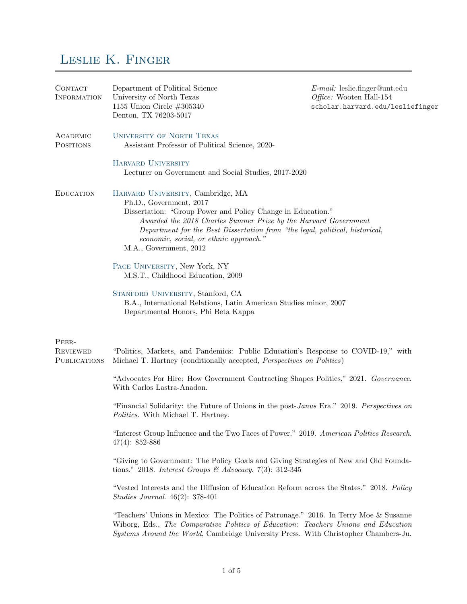## Leslie K. Finger

| CONTACT<br><b>INFORMATION</b>                   | Department of Political Science<br>University of North Texas<br>1155 Union Circle $\#305340$<br>Denton, TX 76203-5017                                                                                                                                                                                                                              | $E$ -mail: leslie.finger@unt.edu<br>Office: Wooten Hall-154<br>scholar.harvard.edu/lesliefinger |
|-------------------------------------------------|----------------------------------------------------------------------------------------------------------------------------------------------------------------------------------------------------------------------------------------------------------------------------------------------------------------------------------------------------|-------------------------------------------------------------------------------------------------|
| ACADEMIC<br><b>POSITIONS</b>                    | <b>UNIVERSITY OF NORTH TEXAS</b><br>Assistant Professor of Political Science, 2020-                                                                                                                                                                                                                                                                |                                                                                                 |
|                                                 | <b>HARVARD UNIVERSITY</b><br>Lecturer on Government and Social Studies, 2017-2020                                                                                                                                                                                                                                                                  |                                                                                                 |
| <b>EDUCATION</b>                                | HARVARD UNIVERSITY, Cambridge, MA<br>Ph.D., Government, 2017<br>Dissertation: "Group Power and Policy Change in Education."<br>Awarded the 2018 Charles Sumner Prize by the Harvard Government<br>Department for the Best Dissertation from "the legal, political, historical,<br>economic, social, or ethnic approach."<br>M.A., Government, 2012 |                                                                                                 |
|                                                 | PACE UNIVERSITY, New York, NY<br>M.S.T., Childhood Education, 2009                                                                                                                                                                                                                                                                                 |                                                                                                 |
|                                                 | STANFORD UNIVERSITY, Stanford, CA<br>B.A., International Relations, Latin American Studies minor, 2007<br>Departmental Honors, Phi Beta Kappa                                                                                                                                                                                                      |                                                                                                 |
| PEER-<br><b>REVIEWED</b><br><b>PUBLICATIONS</b> | "Politics, Markets, and Pandemics: Public Education's Response to COVID-19," with<br>Michael T. Hartney (conditionally accepted, <i>Perspectives on Politics</i> )                                                                                                                                                                                 |                                                                                                 |
|                                                 | "Advocates For Hire: How Government Contracting Shapes Politics," 2021. Governance.<br>With Carlos Lastra-Anadon.                                                                                                                                                                                                                                  |                                                                                                 |
|                                                 | "Financial Solidarity: the Future of Unions in the post-Janus Era." 2019. Perspectives on<br>Politics. With Michael T. Hartney.                                                                                                                                                                                                                    |                                                                                                 |
|                                                 | "Interest Group Influence and the Two Faces of Power." 2019. American Politics Research.<br>$47(4): 852-886$                                                                                                                                                                                                                                       |                                                                                                 |
|                                                 | "Giving to Government: The Policy Goals and Giving Strategies of New and Old Founda-<br>tions." 2018. Interest Groups & Advocacy. 7(3): 312-345                                                                                                                                                                                                    |                                                                                                 |
|                                                 | "Vested Interests and the Diffusion of Education Reform across the States." 2018. Policy<br><i>Studies Journal.</i> $46(2): 378-401$                                                                                                                                                                                                               |                                                                                                 |
|                                                 | "Teachers' Unions in Mexico: The Politics of Patronage." 2016. In Terry Moe & Susanne<br>Wiborg, Eds., The Comparative Politics of Education: Teachers Unions and Education<br>Systems Around the World, Cambridge University Press. With Christopher Chambers-Ju.                                                                                 |                                                                                                 |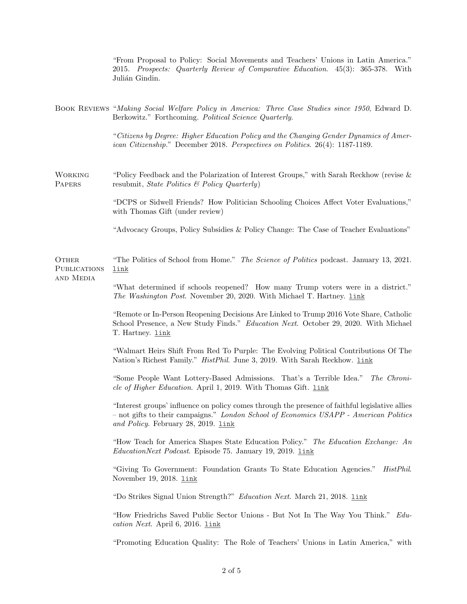"From Proposal to Policy: Social Movements and Teachers' Unions in Latin America." 2015. Prospects: Quarterly Review of Comparative Education. 45(3): 365-378. With Julián Gindin.

Book Reviews "Making Social Welfare Policy in America: Three Case Studies since 1950, Edward D. Berkowitz." Forthcoming. Political Science Quarterly.

> "Citizens by Degree: Higher Education Policy and the Changing Gender Dynamics of American Citizenship." December 2018. Perspectives on Politics. 26(4): 1187-1189.

WORKING "Policy Feedback and the Polarization of Interest Groups," with Sarah Reckhow (revise & PAPERS resubmit, State Politics & Policy Quarterly)

> "DCPS or Sidwell Friends? How Politician Schooling Choices Affect Voter Evaluations," with Thomas Gift (under review)

> "Advocacy Groups, Policy Subsidies & Policy Change: The Case of Teacher Evaluations"

Other "The Politics of School from Home." The Science of Politics podcast. January 13, 2021. **PUBLICATIONS** [link](https://www.niskanencenter.org/the-politics-of-school-from-home/)

and Media

"What determined if schools reopened? How many Trump voters were in a district." The Washington Post. November 20, 2020. With Michael T. Hartney. [link](https://www.washingtonpost.com/outlook/2020/11/10/partisanship-schools-reopening-virus-trump-unions/?fbclid=IwAR3vURQxQ36_qfJBbFj9BjiW-zx8lO0RZESDkAtDYDJ5nLwuA_bfviIByV4)

"Remote or In-Person Reopening Decisions Are Linked to Trump 2016 Vote Share, Catholic School Presence, a New Study Finds." Education Next. October 29, 2020. With Michael T. Hartney. [link](https://www.educationnext.org/remote-in-person-reopening-decisions-linked-to-trump-2016-vote-share-catholic-school-presence-new-study/)

"Walmart Heirs Shift From Red To Purple: The Evolving Political Contributions Of The Nation's Richest Family." *HistPhil.* June 3, 2019. With Sarah Reckhow. *Link* 

"Some People Want Lottery-Based Admissions. That's a Terrible Idea." The Chronicle of Higher Education. April 1, 2019. With Thomas Gift. *Link* 

"Interest groups' influence on policy comes through the presence of faithful legislative allies – not gifts to their campaigns." London School of Economics USAPP - American Politics and Policy. February 28, 2019. [link](http://bit.ly/2Ua2cG0)

"How Teach for America Shapes State Education Policy." The Education Exchange: An EducationNext Podcast. Episode 75. January 19, 2019. [link](https://www.educationnext.org/education-exchange-how-teach-for-america-shapes-state-education-policy/)

"Giving To Government: Foundation Grants To State Education Agencies." HistPhil. November 19, 2018. [link](https://histphil.org/2018/11/19/giving-to-government-foundation-grants-to-state-education-agencies/)

"Do Strikes Signal Union Strength?" Education Next. March 21, 2018. [link](https://www.educationnext.org/does-labor-activism-signal-union-strength-west-virginia/)

"How Friedrichs Saved Public Sector Unions - But Not In The Way You Think." Edu $cation$  Next. April 6, 2016. [link](http://educationnext.org/how-friedrichs-saved-public-sector-unions-but-not-in-the-way-you-think/)

"Promoting Education Quality: The Role of Teachers' Unions in Latin America," with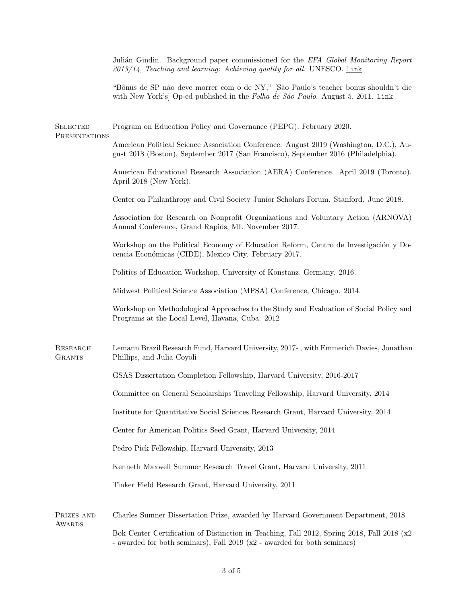Julián Gindin. Background paper commissioned for the *EFA Global Monitoring Report*  $2013/14$ , Teaching and learning: Achieving quality for all. UNESCO. Link

"Bˆonus de SP n˜ao deve morrer com o de NY," [S˜ao Paulo's teacher bonus shouldn't die with New York's Op-ed published in the Folha de São Paulo. August 5, 2011. Link

SELECTED Program on Education Policy and Governance (PEPG). February 2020. **PRESENTATIONS** American Political Science Association Conference. August 2019 (Washington, D.C.), August 2018 (Boston), September 2017 (San Francisco), September 2016 (Philadelphia). American Educational Research Association (AERA) Conference. April 2019 (Toronto). April 2018 (New York). Center on Philanthropy and Civil Society Junior Scholars Forum. Stanford. June 2018. Association for Research on Nonprofit Organizations and Voluntary Action (ARNOVA) Annual Conference, Grand Rapids, MI. November 2017. Workshop on the Political Economy of Education Reform, Centro de Investigación y Docencia Económicas (CIDE), Mexico City. February 2017. Politics of Education Workshop, University of Konstanz, Germany. 2016. Midwest Political Science Association (MPSA) Conference, Chicago. 2014. Workshop on Methodological Approaches to the Study and Evaluation of Social Policy and Programs at the Local Level, Havana, Cuba. 2012 Research Lemann Brazil Research Fund, Harvard University, 2017- , with Emmerich Davies, Jonathan Grants Phillips, and Julia Coyoli GSAS Dissertation Completion Fellowship, Harvard University, 2016-2017 Committee on General Scholarships Traveling Fellowship, Harvard University, 2014 Institute for Quantitative Social Sciences Research Grant, Harvard University, 2014 Center for American Politics Seed Grant, Harvard University, 2014 Pedro Pick Fellowship, Harvard University, 2013 Kenneth Maxwell Summer Research Travel Grant, Harvard University, 2011 Tinker Field Research Grant, Harvard University, 2011 Prizes and Charles Sumner Dissertation Prize, awarded by Harvard Government Department, 2018 **AWARDS** Bok Center Certification of Distinction in Teaching, Fall 2012, Spring 2018, Fall 2018 (x2 - awarded for both seminars), Fall 2019 (x2 - awarded for both seminars)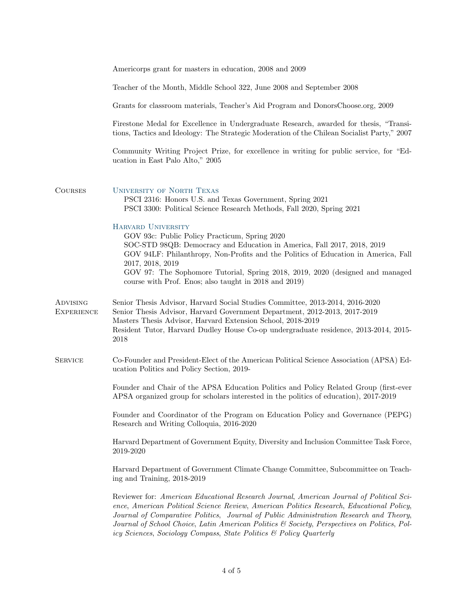|                                      | Americorps grant for masters in education, 2008 and 2009                                                                                                                                                                                                                                                                                                                                                                                           |  |
|--------------------------------------|----------------------------------------------------------------------------------------------------------------------------------------------------------------------------------------------------------------------------------------------------------------------------------------------------------------------------------------------------------------------------------------------------------------------------------------------------|--|
|                                      | Teacher of the Month, Middle School 322, June 2008 and September 2008                                                                                                                                                                                                                                                                                                                                                                              |  |
|                                      | Grants for classroom materials, Teacher's Aid Program and DonorsChoose.org, 2009                                                                                                                                                                                                                                                                                                                                                                   |  |
|                                      | Firestone Medal for Excellence in Undergraduate Research, awarded for thesis, "Transi-<br>tions, Tactics and Ideology: The Strategic Moderation of the Chilean Socialist Party," 2007                                                                                                                                                                                                                                                              |  |
|                                      | Community Writing Project Prize, for excellence in writing for public service, for "Ed-<br>ucation in East Palo Alto," 2005                                                                                                                                                                                                                                                                                                                        |  |
| <b>COURSES</b>                       | <b>UNIVERSITY OF NORTH TEXAS</b><br>PSCI 2316: Honors U.S. and Texas Government, Spring 2021<br>PSCI 3300: Political Science Research Methods, Fall 2020, Spring 2021                                                                                                                                                                                                                                                                              |  |
|                                      | HARVARD UNIVERSITY<br>GOV 93c: Public Policy Practicum, Spring 2020<br>SOC-STD 98QB: Democracy and Education in America, Fall 2017, 2018, 2019<br>GOV 94LF: Philanthropy, Non-Profits and the Politics of Education in America, Fall<br>2017, 2018, 2019<br>GOV 97: The Sophomore Tutorial, Spring 2018, 2019, 2020 (designed and managed<br>course with Prof. Enos; also taught in 2018 and 2019)                                                 |  |
| <b>ADVISING</b><br><b>EXPERIENCE</b> | Senior Thesis Advisor, Harvard Social Studies Committee, 2013-2014, 2016-2020<br>Senior Thesis Advisor, Harvard Government Department, 2012-2013, 2017-2019<br>Masters Thesis Advisor, Harvard Extension School, 2018-2019<br>Resident Tutor, Harvard Dudley House Co-op undergraduate residence, 2013-2014, 2015-<br>2018                                                                                                                         |  |
| <b>SERVICE</b>                       | Co-Founder and President-Elect of the American Political Science Association (APSA) Ed-<br>ucation Politics and Policy Section, 2019-                                                                                                                                                                                                                                                                                                              |  |
|                                      | Founder and Chair of the APSA Education Politics and Policy Related Group (first-ever<br>APSA organized group for scholars interested in the politics of education), 2017-2019                                                                                                                                                                                                                                                                     |  |
|                                      | Founder and Coordinator of the Program on Education Policy and Governance (PEPG)<br>Research and Writing Colloquia, 2016-2020                                                                                                                                                                                                                                                                                                                      |  |
|                                      | Harvard Department of Government Equity, Diversity and Inclusion Committee Task Force,<br>2019-2020                                                                                                                                                                                                                                                                                                                                                |  |
|                                      | Harvard Department of Government Climate Change Committee, Subcommittee on Teach-<br>ing and Training, 2018-2019                                                                                                                                                                                                                                                                                                                                   |  |
|                                      | Reviewer for: American Educational Research Journal, American Journal of Political Sci-<br>ence, American Political Science Review, American Politics Research, Educational Policy,<br>Journal of Comparative Politics, Journal of Public Administration Research and Theory,<br>Journal of School Choice, Latin American Politics & Society, Perspectives on Politics, Pol-<br>icy Sciences, Sociology Compass, State Politics & Policy Quarterly |  |